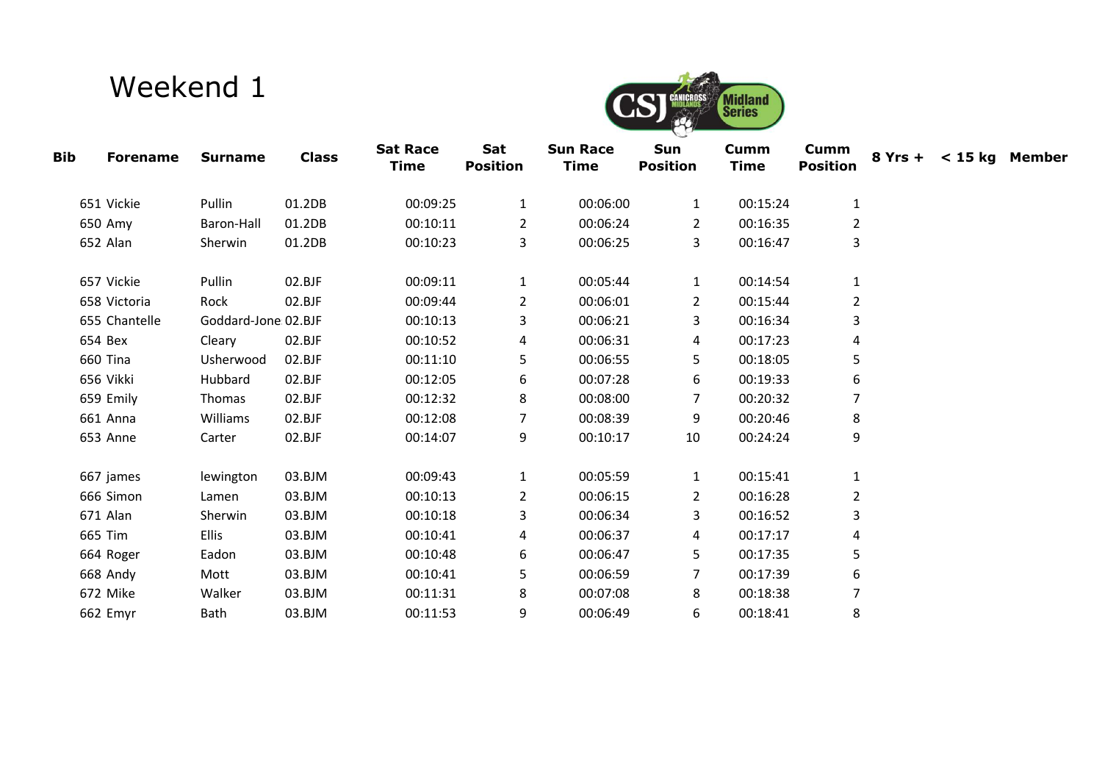## Weekend 1



| <b>Bib</b> | <b>Forename</b> | <b>Surname</b>       | <b>Class</b> | <b>Sat Race</b><br><b>Time</b> | Sat<br><b>Position</b> | <b>Sun Race</b><br>Time | Sun<br><b>Position</b> | <b>Cumm</b><br><b>Time</b> | <b>Cumm</b><br><b>Position</b> | $8Yrs + < 15kg$ Member |  |
|------------|-----------------|----------------------|--------------|--------------------------------|------------------------|-------------------------|------------------------|----------------------------|--------------------------------|------------------------|--|
|            | 651 Vickie      | Pullin               | 01.2DB       | 00:09:25                       | 1                      | 00:06:00                | 1                      | 00:15:24                   | 1                              |                        |  |
|            | 650 Amy         | Baron-Hall           | 01.2DB       | 00:10:11                       | 2                      | 00:06:24                | 2                      | 00:16:35                   | $\overline{2}$                 |                        |  |
|            | 652 Alan        | Sherwin              | 01.2DB       | 00:10:23                       | 3                      | 00:06:25                | 3                      | 00:16:47                   | 3                              |                        |  |
|            | 657 Vickie      | Pullin               | 02.BJF       | 00:09:11                       | 1                      | 00:05:44                | $\mathbf{1}$           | 00:14:54                   | 1                              |                        |  |
|            | 658 Victoria    | Rock                 | 02.BJF       | 00:09:44                       | 2                      | 00:06:01                | $\overline{2}$         | 00:15:44                   | $\overline{2}$                 |                        |  |
|            | 655 Chantelle   | Goddard-Jone: 02.BJF |              | 00:10:13                       | 3                      | 00:06:21                | 3                      | 00:16:34                   | 3                              |                        |  |
|            | 654 Bex         | Cleary               | 02.BJF       | 00:10:52                       | 4                      | 00:06:31                | 4                      | 00:17:23                   | 4                              |                        |  |
|            | 660 Tina        | Usherwood            | 02.BJF       | 00:11:10                       | 5                      | 00:06:55                | 5                      | 00:18:05                   | 5                              |                        |  |
|            | 656 Vikki       | Hubbard              | 02.BJF       | 00:12:05                       | 6                      | 00:07:28                | 6                      | 00:19:33                   | 6                              |                        |  |
|            | 659 Emily       | Thomas               | 02.BJF       | 00:12:32                       | 8                      | 00:08:00                | 7                      | 00:20:32                   |                                |                        |  |
|            | 661 Anna        | Williams             | 02.BJF       | 00:12:08                       | 7                      | 00:08:39                | 9                      | 00:20:46                   | 8                              |                        |  |
|            | 653 Anne        | Carter               | 02.BJF       | 00:14:07                       | 9                      | 00:10:17                | 10                     | 00:24:24                   | 9                              |                        |  |
|            | 667 james       | lewington            | 03.BJM       | 00:09:43                       | 1                      | 00:05:59                | $\mathbf{1}$           | 00:15:41                   | 1                              |                        |  |
|            | 666 Simon       | Lamen                | 03.BJM       | 00:10:13                       | 2                      | 00:06:15                | 2                      | 00:16:28                   | 2                              |                        |  |
|            | 671 Alan        | Sherwin              | 03.BJM       | 00:10:18                       | 3                      | 00:06:34                | 3                      | 00:16:52                   | 3                              |                        |  |
|            | 665 Tim         | <b>Ellis</b>         | 03.BJM       | 00:10:41                       | 4                      | 00:06:37                | 4                      | 00:17:17                   | 4                              |                        |  |
|            | 664 Roger       | Eadon                | 03.BJM       | 00:10:48                       | 6                      | 00:06:47                | 5                      | 00:17:35                   | 5                              |                        |  |
|            | 668 Andy        | Mott                 | 03.BJM       | 00:10:41                       | 5                      | 00:06:59                | 7                      | 00:17:39                   | 6                              |                        |  |
|            | 672 Mike        | Walker               | 03.BJM       | 00:11:31                       | 8                      | 00:07:08                | 8                      | 00:18:38                   | 7                              |                        |  |
|            | 662 Emyr        | Bath                 | 03.BJM       | 00:11:53                       | 9                      | 00:06:49                | 6                      | 00:18:41                   | 8                              |                        |  |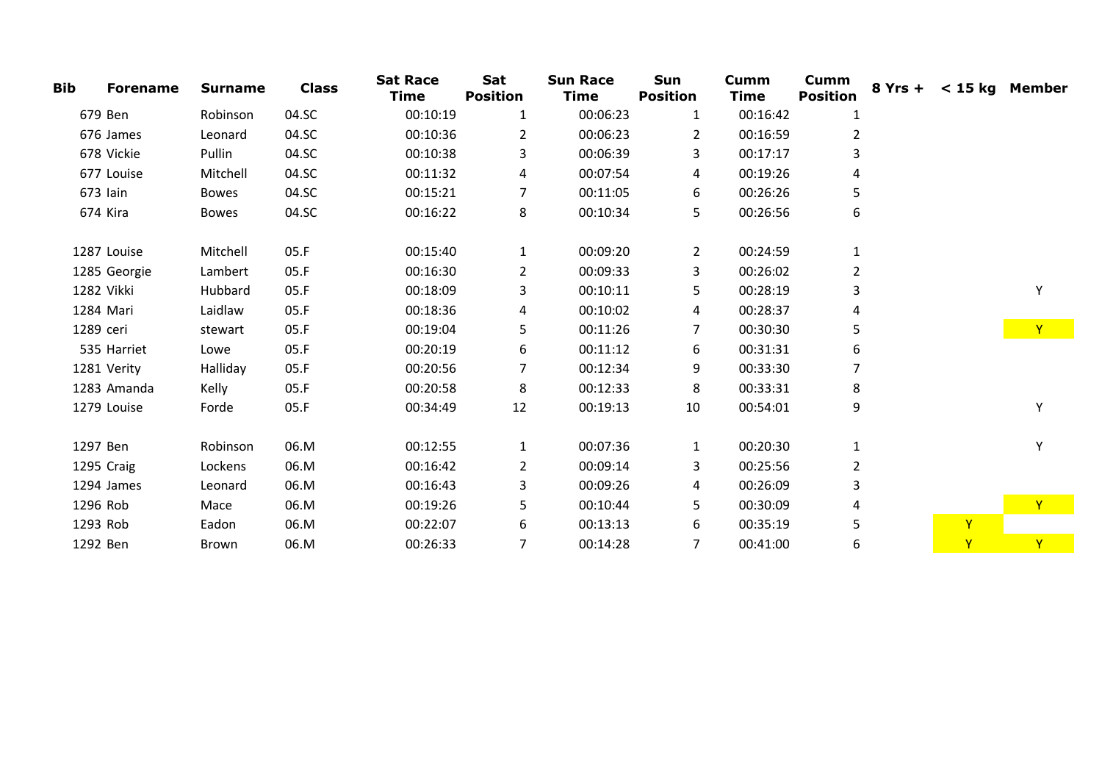| <b>Bib</b> | <b>Forename</b> | <b>Surname</b> | <b>Class</b> | <b>Sat Race</b><br><b>Time</b> | Sat<br><b>Position</b> | <b>Sun Race</b><br><b>Time</b> | Sun<br><b>Position</b> | Cumm<br>Time | <b>Cumm</b><br><b>Position</b> | 8 Yrs + < 15 kg Member |              |
|------------|-----------------|----------------|--------------|--------------------------------|------------------------|--------------------------------|------------------------|--------------|--------------------------------|------------------------|--------------|
|            | 679 Ben         | Robinson       | 04.SC        | 00:10:19                       | $\mathbf{1}$           | 00:06:23                       | 1                      | 00:16:42     | 1                              |                        |              |
|            | 676 James       | Leonard        | 04.SC        | 00:10:36                       | 2                      | 00:06:23                       | $\overline{2}$         | 00:16:59     | $\overline{2}$                 |                        |              |
|            | 678 Vickie      | Pullin         | 04.SC        | 00:10:38                       | 3                      | 00:06:39                       | 3                      | 00:17:17     | 3                              |                        |              |
|            | 677 Louise      | Mitchell       | 04.SC        | 00:11:32                       | 4                      | 00:07:54                       | 4                      | 00:19:26     | 4                              |                        |              |
|            | 673 Iain        | <b>Bowes</b>   | 04.SC        | 00:15:21                       | 7                      | 00:11:05                       | 6                      | 00:26:26     | 5                              |                        |              |
|            | 674 Kira        | <b>Bowes</b>   | 04.SC        | 00:16:22                       | 8                      | 00:10:34                       | 5                      | 00:26:56     | 6                              |                        |              |
|            | 1287 Louise     | Mitchell       | 05.F         | 00:15:40                       | $\mathbf{1}$           | 00:09:20                       | $\overline{2}$         | 00:24:59     | $\mathbf{1}$                   |                        |              |
|            | 1285 Georgie    | Lambert        | 05.F         | 00:16:30                       | $\overline{2}$         | 00:09:33                       | 3                      | 00:26:02     | $\overline{2}$                 |                        |              |
| 1282 Vikki |                 | Hubbard        | 05.F         | 00:18:09                       | 3                      | 00:10:11                       | 5                      | 00:28:19     | 3                              |                        | Υ            |
| 1284 Mari  |                 | Laidlaw        | 05.F         | 00:18:36                       | 4                      | 00:10:02                       | 4                      | 00:28:37     | 4                              |                        |              |
| 1289 ceri  |                 | stewart        | 05.F         | 00:19:04                       | 5                      | 00:11:26                       | 7                      | 00:30:30     | 5.                             |                        | Y            |
|            | 535 Harriet     | Lowe           | 05.F         | 00:20:19                       | 6                      | 00:11:12                       | 6                      | 00:31:31     | 6                              |                        |              |
|            | 1281 Verity     | Halliday       | 05.F         | 00:20:56                       | 7                      | 00:12:34                       | 9                      | 00:33:30     |                                |                        |              |
|            | 1283 Amanda     | Kelly          | 05.F         | 00:20:58                       | 8                      | 00:12:33                       | 8                      | 00:33:31     | 8                              |                        |              |
|            | 1279 Louise     | Forde          | 05.F         | 00:34:49                       | 12                     | 00:19:13                       | 10                     | 00:54:01     | 9                              |                        | Υ            |
| 1297 Ben   |                 | Robinson       | 06.M         | 00:12:55                       | $\mathbf{1}$           | 00:07:36                       | 1                      | 00:20:30     | $\mathbf{1}$                   |                        | Υ            |
|            | 1295 Craig      | Lockens        | 06.M         | 00:16:42                       | $\overline{2}$         | 00:09:14                       | 3                      | 00:25:56     | $\overline{2}$                 |                        |              |
|            | 1294 James      | Leonard        | 06.M         | 00:16:43                       | 3                      | 00:09:26                       | 4                      | 00:26:09     | 3                              |                        |              |
| 1296 Rob   |                 | Mace           | 06.M         | 00:19:26                       | 5                      | 00:10:44                       | 5.                     | 00:30:09     | 4                              |                        | $\mathsf{Y}$ |
| 1293 Rob   |                 | Eadon          | 06.M         | 00:22:07                       | 6                      | 00:13:13                       | 6                      | 00:35:19     | 5                              | $\overline{Y}$         |              |
| 1292 Ben   |                 | Brown          | 06.M         | 00:26:33                       | 7                      | 00:14:28                       | 7                      | 00:41:00     | 6                              | Y                      | Y.           |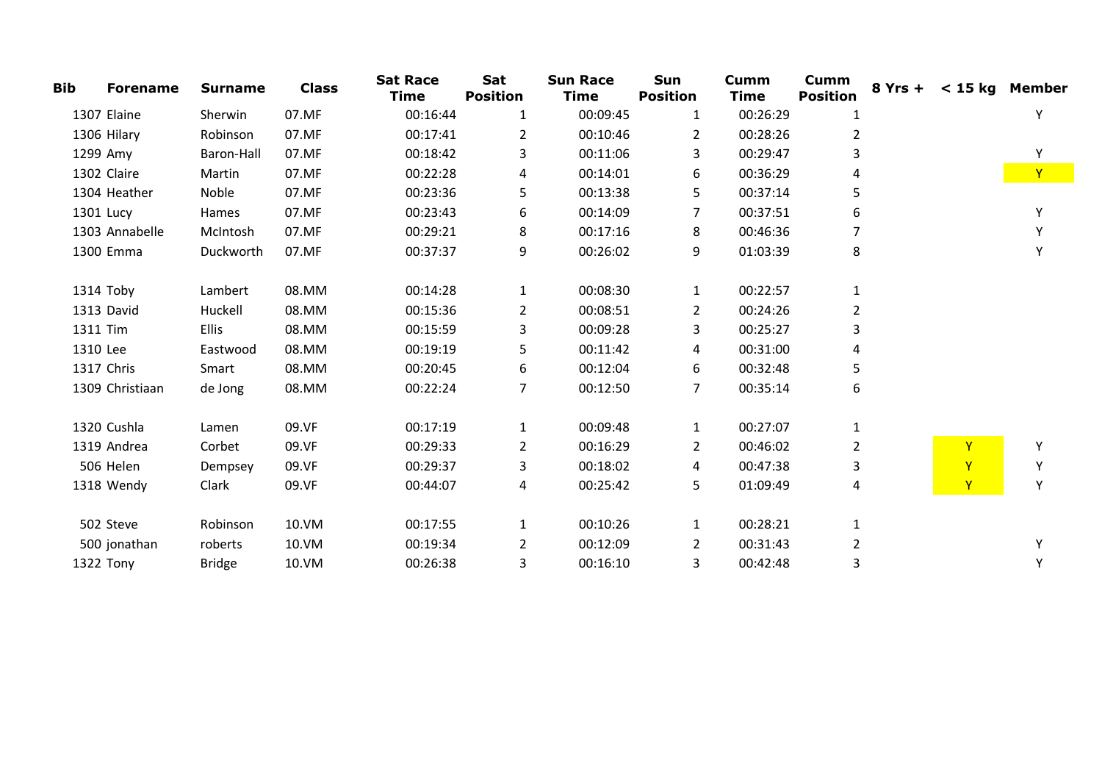| <b>Bib</b> | <b>Forename</b> | <b>Surname</b> | <b>Class</b> | <b>Sat Race</b><br><b>Time</b> | Sat<br><b>Position</b> | <b>Sun Race</b><br><b>Time</b> | Sun<br><b>Position</b> | <b>Cumm</b><br><b>Time</b> | <b>Cumm</b><br><b>Position</b> | $8Yrs + < 15kg$ Member |              |
|------------|-----------------|----------------|--------------|--------------------------------|------------------------|--------------------------------|------------------------|----------------------------|--------------------------------|------------------------|--------------|
|            | 1307 Elaine     | Sherwin        | 07.MF        | 00:16:44                       | 1                      | 00:09:45                       | 1                      | 00:26:29                   | 1                              |                        | Y            |
|            | 1306 Hilary     | Robinson       | 07.MF        | 00:17:41                       | 2                      | 00:10:46                       | 2                      | 00:28:26                   | 2                              |                        |              |
|            | 1299 Amy        | Baron-Hall     | 07.MF        | 00:18:42                       | 3                      | 00:11:06                       | 3                      | 00:29:47                   | 3                              |                        | Υ            |
|            | 1302 Claire     | Martin         | 07.MF        | 00:22:28                       | 4                      | 00:14:01                       | 6                      | 00:36:29                   |                                |                        | $\mathbf{Y}$ |
|            | 1304 Heather    | Noble          | 07.MF        | 00:23:36                       | 5                      | 00:13:38                       | 5                      | 00:37:14                   | 5                              |                        |              |
|            | 1301 Lucy       | Hames          | 07.MF        | 00:23:43                       | 6                      | 00:14:09                       | 7                      | 00:37:51                   | 6                              |                        | Υ            |
|            | 1303 Annabelle  | McIntosh       | 07.MF        | 00:29:21                       | 8                      | 00:17:16                       | 8                      | 00:46:36                   |                                |                        | Υ            |
|            | 1300 Emma       | Duckworth      | 07.MF        | 00:37:37                       | 9                      | 00:26:02                       | 9                      | 01:03:39                   | 8                              |                        | Υ            |
|            | 1314 Toby       | Lambert        | 08.MM        | 00:14:28                       | 1                      | 00:08:30                       | 1                      | 00:22:57                   | 1                              |                        |              |
|            | 1313 David      | Huckell        | 08.MM        | 00:15:36                       | 2                      | 00:08:51                       | $\overline{2}$         | 00:24:26                   | $\overline{2}$                 |                        |              |
| 1311 Tim   |                 | <b>Ellis</b>   | 08.MM        | 00:15:59                       | 3                      | 00:09:28                       | 3                      | 00:25:27                   | 3                              |                        |              |
| 1310 Lee   |                 | Eastwood       | 08.MM        | 00:19:19                       | 5.                     | 00:11:42                       | 4                      | 00:31:00                   | 4                              |                        |              |
|            | 1317 Chris      | Smart          | 08.MM        | 00:20:45                       | 6                      | 00:12:04                       | 6                      | 00:32:48                   | 5                              |                        |              |
|            | 1309 Christiaan | de Jong        | 08.MM        | 00:22:24                       | 7                      | 00:12:50                       | 7                      | 00:35:14                   | 6                              |                        |              |
|            | 1320 Cushla     | Lamen          | 09.VF        | 00:17:19                       | $\mathbf{1}$           | 00:09:48                       | 1                      | 00:27:07                   | 1                              |                        |              |
|            | 1319 Andrea     | Corbet         | 09.VF        | 00:29:33                       | 2                      | 00:16:29                       | $\overline{2}$         | 00:46:02                   | $\overline{2}$                 | Y                      | Υ            |
|            | 506 Helen       | Dempsey        | 09.VF        | 00:29:37                       | 3                      | 00:18:02                       | 4                      | 00:47:38                   | 3                              | Y                      | Υ            |
|            | 1318 Wendy      | Clark          | 09.VF        | 00:44:07                       | 4                      | 00:25:42                       | 5                      | 01:09:49                   | 4                              | Y                      | Υ            |
|            | 502 Steve       | Robinson       | 10.VM        | 00:17:55                       | 1                      | 00:10:26                       | 1                      | 00:28:21                   | 1                              |                        |              |
|            | 500 jonathan    | roberts        | 10.VM        | 00:19:34                       | 2                      | 00:12:09                       | $\mathbf{2}^{\prime}$  | 00:31:43                   | 2                              |                        | Y            |
|            | 1322 Tony       | <b>Bridge</b>  | 10.VM        | 00:26:38                       | 3                      | 00:16:10                       | 3                      | 00:42:48                   | 3                              |                        | Υ            |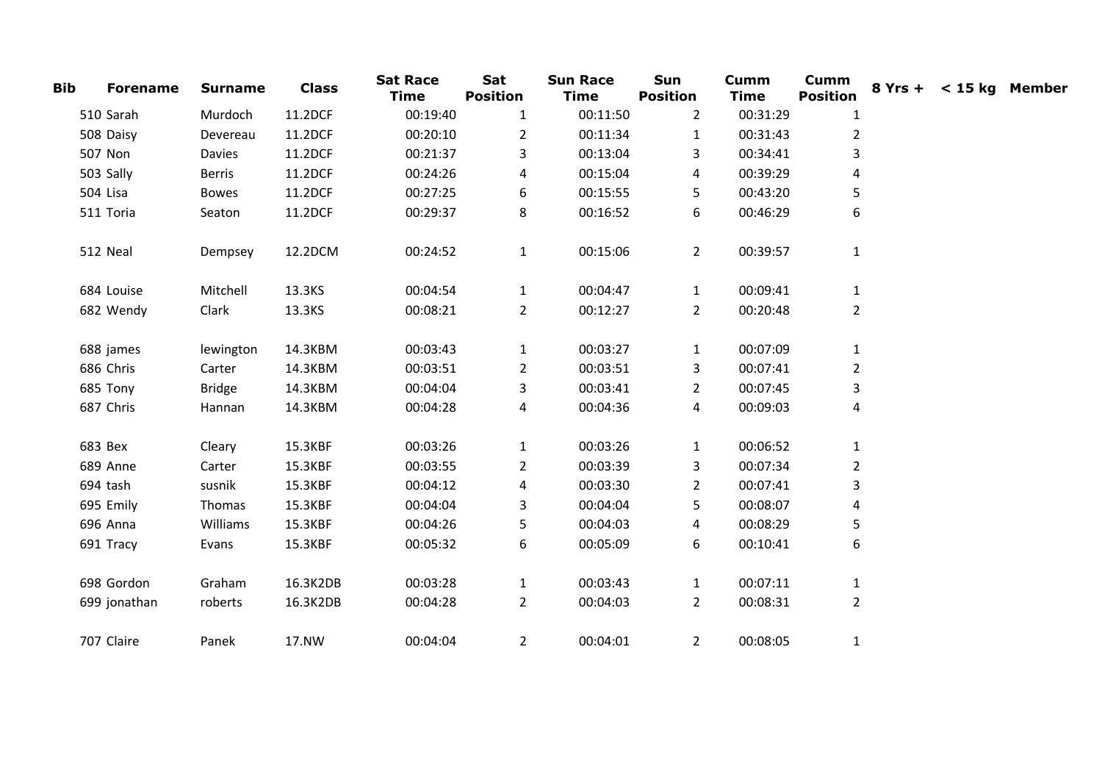| <b>Bib</b> | <b>Forename</b> | <b>Surname</b> | <b>Class</b> | <b>Sat Race</b><br><b>Time</b> | Sat<br><b>Position</b> | <b>Sun Race</b><br><b>Time</b> | Sun<br><b>Position</b> | <b>Cumm</b><br><b>Time</b> | <b>Cumm</b><br><b>Position</b> | $8Yrs + < 15kg$ Member |  |
|------------|-----------------|----------------|--------------|--------------------------------|------------------------|--------------------------------|------------------------|----------------------------|--------------------------------|------------------------|--|
|            | 510 Sarah       | Murdoch        | 11.2DCF      | 00:19:40                       | 1                      | 00:11:50                       | 2                      | 00:31:29                   | 1                              |                        |  |
|            | 508 Daisy       | Devereau       | 11.2DCF      | 00:20:10                       | $\overline{2}$         | 00:11:34                       | $\mathbf{1}$           | 00:31:43                   | $\overline{2}$                 |                        |  |
|            | 507 Non         | Davies         | 11.2DCF      | 00:21:37                       | 3                      | 00:13:04                       | 3                      | 00:34:41                   | 3                              |                        |  |
|            | 503 Sally       | Berris         | 11.2DCF      | 00:24:26                       | 4                      | 00:15:04                       | 4                      | 00:39:29                   | 4                              |                        |  |
|            | 504 Lisa        | <b>Bowes</b>   | 11.2DCF      | 00:27:25                       | 6                      | 00:15:55                       | 5                      | 00:43:20                   | 5                              |                        |  |
|            | 511 Toria       | Seaton         | 11.2DCF      | 00:29:37                       | 8                      | 00:16:52                       | 6                      | 00:46:29                   | 6                              |                        |  |
|            | 512 Neal        | Dempsey        | 12.2DCM      | 00:24:52                       | $\mathbf{1}$           | 00:15:06                       | $2^{\circ}$            | 00:39:57                   | $\mathbf{1}$                   |                        |  |
|            | 684 Louise      | Mitchell       | 13.3KS       | 00:04:54                       | $\mathbf{1}$           | 00:04:47                       | $\mathbf{1}$           | 00:09:41                   | $\mathbf{1}$                   |                        |  |
|            | 682 Wendy       | Clark          | 13.3KS       | 00:08:21                       | $\overline{2}$         | 00:12:27                       | $\overline{2}$         | 00:20:48                   | $\overline{2}$                 |                        |  |
|            | 688 james       | lewington      | 14.3KBM      | 00:03:43                       | $\mathbf{1}$           | 00:03:27                       | $\mathbf{1}$           | 00:07:09                   | $\mathbf{1}$                   |                        |  |
|            | 686 Chris       | Carter         | 14.3KBM      | 00:03:51                       | 2                      | 00:03:51                       | 3                      | 00:07:41                   | $\overline{2}$                 |                        |  |
|            | 685 Tony        | <b>Bridge</b>  | 14.3KBM      | 00:04:04                       | 3                      | 00:03:41                       | $\overline{2}$         | 00:07:45                   | 3                              |                        |  |
|            | 687 Chris       | Hannan         | 14.3KBM      | 00:04:28                       | 4                      | 00:04:36                       | 4                      | 00:09:03                   | 4                              |                        |  |
|            | 683 Bex         | Cleary         | 15.3KBF      | 00:03:26                       | 1                      | 00:03:26                       | 1                      | 00:06:52                   | 1                              |                        |  |
|            | 689 Anne        | Carter         | 15.3KBF      | 00:03:55                       | $\overline{2}$         | 00:03:39                       | 3                      | 00:07:34                   | $\overline{2}$                 |                        |  |
|            | 694 tash        | susnik         | 15.3KBF      | 00:04:12                       | 4                      | 00:03:30                       | $\mathbf{2}$           | 00:07:41                   | 3                              |                        |  |
|            | 695 Emily       | Thomas         | 15.3KBF      | 00:04:04                       | 3                      | 00:04:04                       | 5                      | 00:08:07                   | 4                              |                        |  |
|            | 696 Anna        | Williams       | 15.3KBF      | 00:04:26                       | 5                      | 00:04:03                       | 4                      | 00:08:29                   | 5                              |                        |  |
|            | 691 Tracy       | Evans          | 15.3KBF      | 00:05:32                       | 6                      | 00:05:09                       | 6                      | 00:10:41                   | 6                              |                        |  |
|            | 698 Gordon      | Graham         | 16.3K2DB     | 00:03:28                       | $\mathbf{1}$           | 00:03:43                       | $\mathbf{1}$           | 00:07:11                   | $\mathbf{1}$                   |                        |  |
|            | 699 jonathan    | roberts        | 16.3K2DB     | 00:04:28                       | $\overline{2}$         | 00:04:03                       | $\overline{2}$         | 00:08:31                   | $\overline{2}$                 |                        |  |
|            | 707 Claire      | Panek          | 17.NW        | 00:04:04                       | $\overline{2}$         | 00:04:01                       | $\mathbf{2}$           | 00:08:05                   | $\mathbf{1}$                   |                        |  |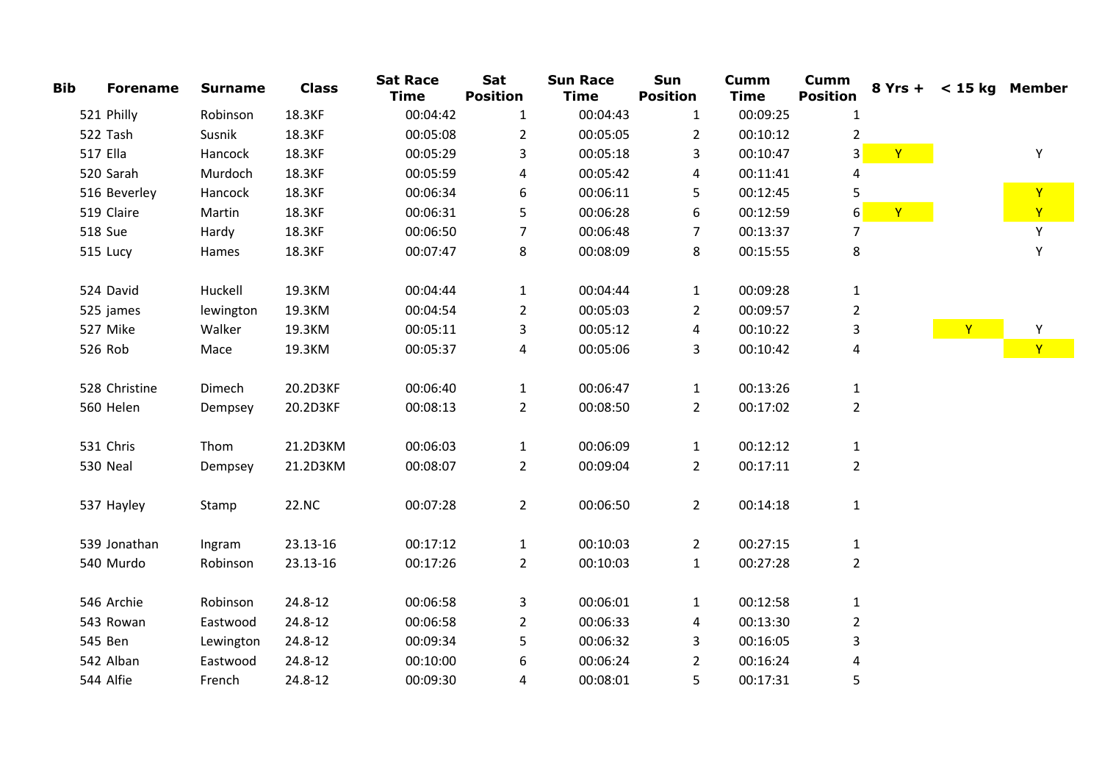| <b>Bib</b> | <b>Forename</b> | <b>Surname</b> | <b>Class</b> | <b>Sat Race</b><br><b>Time</b> | Sat<br><b>Position</b> | <b>Sun Race</b><br><b>Time</b> | Sun<br><b>Position</b> | <b>Cumm</b><br><b>Time</b> | <b>Cumm</b><br><b>Position</b> |   | 8 Yrs + < 15 kg Member |              |
|------------|-----------------|----------------|--------------|--------------------------------|------------------------|--------------------------------|------------------------|----------------------------|--------------------------------|---|------------------------|--------------|
|            | 521 Philly      | Robinson       | 18.3KF       | 00:04:42                       | $\mathbf{1}$           | 00:04:43                       | $\mathbf{1}$           | 00:09:25                   | $\mathbf{1}$                   |   |                        |              |
|            | 522 Tash        | Susnik         | 18.3KF       | 00:05:08                       | $\overline{2}$         | 00:05:05                       | $\overline{2}$         | 00:10:12                   | $\overline{2}$                 |   |                        |              |
|            | 517 Ella        | Hancock        | 18.3KF       | 00:05:29                       | 3                      | 00:05:18                       | 3                      | 00:10:47                   | 3                              | Y |                        | Υ            |
|            | 520 Sarah       | Murdoch        | 18.3KF       | 00:05:59                       | 4                      | 00:05:42                       | 4                      | 00:11:41                   | 4                              |   |                        |              |
|            | 516 Beverley    | Hancock        | 18.3KF       | 00:06:34                       | 6                      | 00:06:11                       | 5                      | 00:12:45                   | 5                              |   |                        | Y            |
|            | 519 Claire      | Martin         | 18.3KF       | 00:06:31                       | 5                      | 00:06:28                       | 6                      | 00:12:59                   | 6                              | Y |                        | $\mathbf{Y}$ |
|            | <b>518 Sue</b>  | Hardy          | 18.3KF       | 00:06:50                       | 7                      | 00:06:48                       | 7                      | 00:13:37                   | 7                              |   |                        | Y            |
|            | 515 Lucy        | Hames          | 18.3KF       | 00:07:47                       | 8                      | 00:08:09                       | 8                      | 00:15:55                   | 8                              |   |                        | $\mathsf Y$  |
|            | 524 David       | Huckell        | 19.3KM       | 00:04:44                       | $\mathbf{1}$           | 00:04:44                       | $\mathbf{1}$           | 00:09:28                   | $\mathbf{1}$                   |   |                        |              |
|            | 525 james       | lewington      | 19.3KM       | 00:04:54                       | $\overline{2}$         | 00:05:03                       | $\overline{2}$         | 00:09:57                   | $\overline{2}$                 |   |                        |              |
|            | 527 Mike        | Walker         | 19.3KM       | 00:05:11                       | 3                      | 00:05:12                       | 4                      | 00:10:22                   | 3                              |   | $\mathbf{Y}$           | Υ            |
|            | 526 Rob         | Mace           | 19.3KM       | 00:05:37                       | 4                      | 00:05:06                       | 3                      | 00:10:42                   | 4                              |   |                        | $\mathbf{Y}$ |
|            | 528 Christine   | Dimech         | 20.2D3KF     | 00:06:40                       | $\mathbf{1}$           | 00:06:47                       | $\mathbf{1}$           | 00:13:26                   | $\mathbf{1}$                   |   |                        |              |
|            | 560 Helen       | Dempsey        | 20.2D3KF     | 00:08:13                       | $\overline{2}$         | 00:08:50                       | $\overline{2}$         | 00:17:02                   | $\overline{2}$                 |   |                        |              |
|            | 531 Chris       | Thom           | 21.2D3KM     | 00:06:03                       | $\mathbf{1}$           | 00:06:09                       | $\mathbf{1}$           | 00:12:12                   | $\mathbf{1}$                   |   |                        |              |
|            | 530 Neal        | Dempsey        | 21.2D3KM     | 00:08:07                       | $\overline{2}$         | 00:09:04                       | $\overline{2}$         | 00:17:11                   | $\overline{2}$                 |   |                        |              |
|            | 537 Hayley      | Stamp          | 22.NC        | 00:07:28                       | $\overline{2}$         | 00:06:50                       | $\overline{2}$         | 00:14:18                   | $\mathbf{1}$                   |   |                        |              |
|            | 539 Jonathan    | Ingram         | 23.13-16     | 00:17:12                       | $\mathbf{1}$           | 00:10:03                       | $\overline{2}$         | 00:27:15                   | $\mathbf{1}$                   |   |                        |              |
|            | 540 Murdo       | Robinson       | 23.13-16     | 00:17:26                       | $\overline{2}$         | 00:10:03                       | $\mathbf{1}$           | 00:27:28                   | $\overline{2}$                 |   |                        |              |
|            | 546 Archie      | Robinson       | 24.8-12      | 00:06:58                       | 3                      | 00:06:01                       | $\mathbf{1}$           | 00:12:58                   | $\mathbf{1}$                   |   |                        |              |
|            | 543 Rowan       | Eastwood       | 24.8-12      | 00:06:58                       | 2                      | 00:06:33                       | 4                      | 00:13:30                   | $\overline{2}$                 |   |                        |              |
|            | 545 Ben         | Lewington      | 24.8-12      | 00:09:34                       | 5                      | 00:06:32                       | 3                      | 00:16:05                   | 3                              |   |                        |              |
|            | 542 Alban       | Eastwood       | 24.8-12      | 00:10:00                       | 6                      | 00:06:24                       | $\overline{2}$         | 00:16:24                   | 4                              |   |                        |              |
|            | 544 Alfie       | French         | 24.8-12      | 00:09:30                       | 4                      | 00:08:01                       | 5                      | 00:17:31                   | 5                              |   |                        |              |